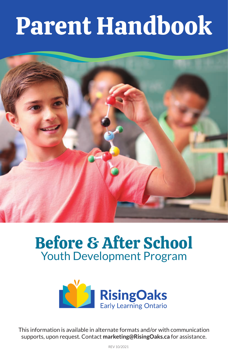# Parent Handbook



# Before & After School Youth Development Program



This information is available in alternate formats and/or with communication supports, upon request. Contact **marketing@RisingOaks.ca** for assistance.

REV 10/2021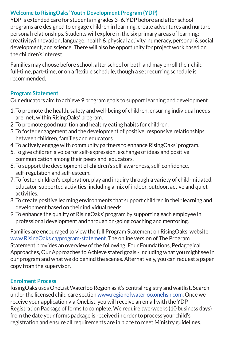# **Welcome to RisingOaks' Youth Development Program (YDP)**

YDP is extended care for students in grades 3–6. YDP before and after school programs are designed to engage children in learning, create adventures and nurture personal relationships. Students will explore in the six primary areas of learning: creativity/innovation, language, health & physical activity, numeracy, personal & social development, and science. There will also be opportunity for project work based on the children's interest.

Families may choose before school, after school or both and may enroll their child full-time, part-time, or on a flexible schedule, though a set recurring schedule is recommended.

# **Program Statement**

Our educators aim to achieve 9 program goals to support learning and development.

- 1. To promote the health, safety and well-being of children, ensuring individual needs are met, within RisingOaks' program.
- 2. To promote good nutrition and healthy eating habits for children.
- 3. To foster engagement and the development of positive, responsive relationships between children, families and educators.
- 4. To actively engage with community partners to enhance RisingOaks' program.
- 5. To give children a voice for self-expression, exchange of ideas and positive communication among their peers and educators.
- 6. To support the development of children's self-awareness, self-confidence, self-regulation and self-esteem.
- 7. To foster children's exploration, play and inquiry through a variety of child-initiated, educator-supported activities; including a mix of indoor, outdoor, active and quiet activities.
- 8. To create positive learning environments that support children in their learning and development based on their individual needs.
- 9. To enhance the quality of RisingOaks' program by supporting each employee in professional development and through on-going coaching and mentoring.

Families are encouraged to view the full Program Statement on RisingOaks' website www.RisingOaks.ca/program-statement. The online version of The Program Statement provides an overview of the following: Four Foundations, Pedagogical Approaches, Our Approaches to Achieve stated goals - including what you might see in our program and what we do behind the scenes. Alternatively, you can request a paper copy from the supervisor.

#### **Enrolment Process**

RisingOaks uses OneList Waterloo Region as it's central registry and waitlist. Search under the licensed child care section www.regionofwaterloo.onehsn.com. Once we receive your application via OneList, you will receive an email with the YDP Registration Package of forms to complete. We require two-weeks (10 business days) from the date your forms package is received in order to process your child's registration and ensure all requirements are in place to meet Ministry guidelines.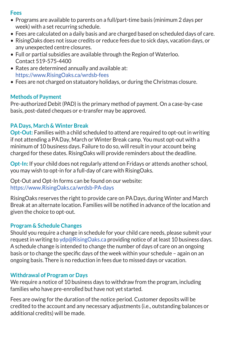#### **Fees**

- Programs are available to parents on a full/part-time basis (minimum 2 days per week) with a set recurring schedule.
- Fees are calculated on a daily basis and are charged based on scheduled days of care.
- RisingOaks does not issue credits or reduce fees due to sick days, vacation days, or any unexpected centre closures.
- Full or partial subsidies are available through the Region of Waterloo. Contact 519-575-4400
- Rates are determined annually and available at: https://www.RisingOaks.ca/wrdsb-fees
- Fees are not charged on statuatory holidays, or during the Christmas closure.

# **Methods of Payment**

Pre-authorized Debit (PAD) is the primary method of payment. On a case-by-case basis, post-dated cheques or e-transfer may be approved.

# **PA Days, March & Winter Break**

**Opt-Out:** Families with a child scheduled to attend are required to opt-out in writing if not attending a PADay, March or Winter Break camp. You must opt-out with a minimum of 10 business days. Failure to do so, will result in your account being charged for these dates. RisingOaks will provide reminders about the deadline.

**Opt-In:** If your child does not regularly attend on Fridays or attends another school, you may wish to opt-in for a full-day of care with RisingOaks.

Opt-Out and Opt-In forms can be found on our website: https://www.RisingOaks.ca/wrdsb-PA-days

RisingOaks reserves the right to provide care on PADays, during Winter and March Break at an alternate location. Families will be notified in advance of the location and given the choice to opt-out.

# **Program & Schedule Changes**

Should you require a change in schedule for your child care needs, please submit your request in writing to ydp@RisingOaks.ca providing notice of at least 10 business days. A schedule change is intended to change the number of days of care on an ongoing basis or to change the specific days of the week within your schedule – again on an ongoing basis. There is no reduction in fees due to missed days or vacation.

# **Withdrawal of Program or Days**

We require a notice of 10 business days to withdraw from the program, including families who have pre-enrolled but have not yet started.

Fees are owing for the duration of the notice period. Customer deposits will be credited to the account and any necessary adjustments (i.e., outstanding balances or additional credits) will be made.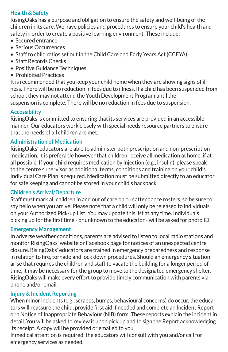# **Health & Safety**

RisingOaks has a purpose and obligation to ensure the safety and well-being of the children in its care. We have policies and procedures to ensure your child's health and safety in order to create a positive learning environment. These include:

- Secured entrance
- Serious Occurrences
- Staff to child ratios set out in the Child Care and Early Years Act (CCEYA)
- Staff Records Checks
- Positive Guidance Techniques
- Prohibited Practices

It is recommended that you keep your child home when they are showing signs of illness. There will be no reduction in fees due to illness. If a child has been suspended from school, they may not attend the Youth Development Program until the suspension is complete. There will be no reduction in fees due to suspension.

# **Accessibility**

RisingOaks is committed to ensuring that its services are provided in an accessible manner. Our educators work closely with special needs resource partners to ensure that the needs of all children are met.

# **Administration of Medication**

RisingOaks' educators are able to administer both prescription and non-prescription medication. It is preferable however that children receive all medication at home, if at all possible. If your child requires medication by injection (e.g., insulin), please speak to the centre supervisor as additional terms, conditions and training on your child's Individual Care Plan is required. Medication must be submitted directly to an educator for safe keeping and cannot be stored in your child's backpack.

# **Children's Arrival/Departure**

Staff must mark all children in and out of care on our attendance rosters, so be sure to say hello when you arrive. Please note that a child will only be released to individuals on your Authorized Pick-up List. You may update this list at any time. Individuals picking up for the first time - or unknown to the educator - will be asked for photo ID.

#### **Emergency Management**

In adverse weather conditions, parents are advised to listen to local radio stations and monitor RisingOaks' website or Facebook page for notices of an unexpected centre closure. RisingOaks' educators are trained in emergency preparedness and response in relation to fire, tornado and lock down procedures. Should an emergency situation arise that requires the children and staff to vacate the building for a longer period of time, it may be necessary for the group to move to the designated emergency shelter. RisingOaks will make every effort to provide timely communication with parents via phone and/or email.

# **Injury & Incident Reporting**

When minor incidents (e.g., scrapes, bumps, behavioural concerns) do occur, the educators will reassure the child, provide first aid if needed and complete an Incident Report or a Notice of Inappropriate Behaviour (NIB) form. These reports explain the incident in detail. You will be asked to review it upon pick up and to sign the Report acknowledging its receipt. A copy will be provided or emailed to you.

If medical attention is required, the educators will consult with you and/or call for emergency services as needed.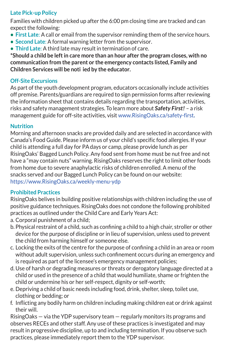# **Late Pick-up Policy**

Families with children picked up after the 6:00 pm closing time are tracked and can expect the following:

- **• First Late**: A call or email from the supervisor reminding them of the service hours.
- **• Second Late**: A formal warning letter from the supervisor.
- **• Third Late**: A third late may result in termination of care.

**\*Should a child be left in care more than an hour after the program closes, with no communication from the parent or the emergency contacts listed, Family and Children Services will be noti ied by the educator.**

# **Off-Site Excursions**

As part of the youth development program, educators occasionally include activities off premise. Parents/guardians are required to sign permission forms after reviewing the information sheet that contains details regarding the transportation, activities, risks and safety management strategies. To learn more about **Safety First!** – a risk management guide for off-site activities, visit www.RisingOaks.ca/safety-first**.** 

# **Nutrition**

Morning and afternoon snacks are provided daily and are selected in accordance with Canada's Food Guide. Please inform us of your child's specific food allergies. If your child is attending a full day for PAdays or camp, please provide lunch as per RisingOaks' Bagged Lunch Policy. Any food sent from home must be nut free and not have a "may contain nuts" warning. RisingOaks reserves the right to limit other foods from home due to severe anaphylactic risks of children enrolled. A menu of the snacks served and our Bagged Lunch Policy can be found on our website: https://www.RisingOaks.ca/weekly-menu-ydp

# **Prohibited Practices**

RisingOaks belives in building positive relationships with children including the use of positive guidance techniques. RisingOaks does not condone the following prohibited practices as outlined under the Child Care and Early Years Act:

- a. Corporal punishment of a child;
- b. Physical restraint of a child, such as confining a child to a high chair, stroller or other device for the purpose of discipline or in lieu of supervision, unless used to prevent the child from harming himself or someone else.
- c. Locking the exits of the centre for the purpose of confining a child in an area or room without adult supervision, unless such confinement occurs during an emergency and is required as part of the licensee's emergency management policies;
- d. Use of harsh or degrading measures or threats or derogatory language directed at a child or used in the presence of a child that would humiliate, shame or frighten the child or undermine his or her self-respect, dignity or self-worth;
- e. Depriving a child of basic needs including food, drink, shelter, sleep, toilet use, clothing or bedding; or
- f. Inflicting any bodily harm on children including making children eat or drink against their will.

RisingOaks — via the YDP supervisory team — regularly monitors its programs and observes RECEs and other staff. Any use of these practices is investigated and may result in progressive discipline, up to and including termination. If you observe such practices, please immediately report them to the YDP supervisor.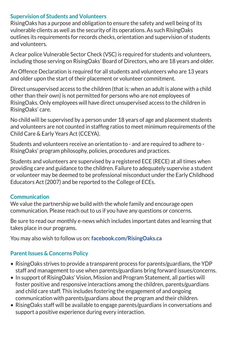# **Supervision of Students and Volunteers**

RisingOaks has a purpose and obligation to ensure the safety and well being of its vulnerable clients as well as the security of its operations. As such RisingOaks outlines its requirements for records checks, orientation and supervision of students and volunteers.

A clear police Vulnerable Sector Check (VSC) is required for students and volunteers, including those serving on RisingOaks' Board of Directors, who are 18 years and older.

An Offence Declaration is required for all students and volunteers who are 13 years and older upon the start of their placement or volunteer commitment.

Direct unsupervised access to the children (that is: when an adult is alone with a child other than their own) is not permitted for persons who are not employees of RisingOaks. Only employees will have direct unsupervised access to the children in RisingOaks' care.

No child will be supervised by a person under 18 years of age and placement students and volunteers are not counted in staffing ratios to meet minimum requirements of the Child Care & Early Years Act (CCEYA).

Students and volunteers receive an orientation to - and are required to adhere to - RisingOaks' program philosophy, policies, procedures and practices.

Students and volunteers are supervised by a registered ECE (RECE) at all times when providing care and guidance to the children. Failure to adequately supervise a student or volunteer may be deemed to be professional misconduct under the Early Childhood Educators Act (2007) and be reported to the College of ECEs.

# **Communication**

We value the partnership we build with the whole family and encourage open communication. Please reach out to us if you have any questions or concerns.

Be sure to read our monthly e-news which includes important dates and learning that takes place in our programs.

You may also wish to follow us on: **[facebook.com/RisingOaks.ca](http://www.facebook.com/RisingOaks.ca)** 

# **Parent Issues & Concerns Policy**

- RisingOaks strives to provide a transparent process for parents/guardians, the YDP staff and management to use when parents/guardians bring forward issues/concerns.
- In support of RisingOaks' Vision, Mission and Program Statement, all parties will foster positive and responsive interactions among the children, parents/guardians and child care staff. This includes fostering the engagement of and ongoing communication with parents/guardians about the program and their children.
- RisingOaks staff will be available to engage parents/guardians in conversations and support a positive experience during every interaction.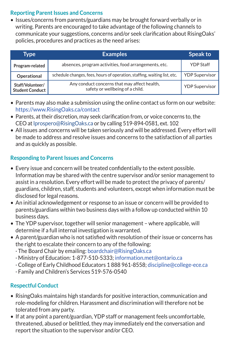# **Reporting Parent Issues and Concerns**

• Issues/concerns from parents/guardians may be brought forward verbally or in writing. Parents are encouraged to take advantage of the following channels to communicate your suggestions, concerns and/or seek clarification about RisingOaks' policies, procedures and practices as the need arises:

| Type                                       | <b>Examples</b>                                                                 | Speak to              |
|--------------------------------------------|---------------------------------------------------------------------------------|-----------------------|
| Program-related                            | absences, program activities, food arrangements, etc.                           | <b>YDP Staff</b>      |
| Operational                                | schedule changes, fees, hours of operation, staffing, waiting list, etc.        | <b>YDP Supervisor</b> |
| Staff/Volunteer/<br><b>Student Conduct</b> | Any conduct concerns that may affect health,<br>safety or wellbeing of a child. | <b>YDP</b> Supervisor |

- Parents may also make a submission using the online contact us form on our website: https://www.RisingOaks.ca/contact
- Parents, at their discretion, may seek clarification from, or voice concerns to, the CEO at lprospero@RisingOaks.ca or by calling 519-894-0581, ext. 102
- All issues and concerns will be taken seriously and will be addressed. Every effort will be made to address and resolve issues and concerns to the satisfaction of all parties and as quickly as possible.

# **Responding to Parent Issues and Concerns**

- Every issue and concern will be treated confidentially to the extent possible. Information may be shared with the centre supervisor and/or senior management to assist in a resolution. Every effort will be made to protect the privacy of parents/ guardians, children, staff, students and volunteers, except when information must be disclosed for legal reasons.
- An initial acknowledgement or response to an issue or concern will be provided to parents/guardians within two business days with a follow up conducted within 10 business days.
- The YDP supervisor, together will senior management where applicable, will determine if a full internal investigation is warranted.
- A parent/guardian who is not satisfied with resolution of their issue or concerns has the right to escalate their concern to any of the following:
	- · The Board Chair by emailing: boardchair@RisingOaks.ca
	- · Ministry of Education: 1-877-510-5333; information.met@ontario.ca
	- · College of Early Childhood Educators 1 888 961-8558; discipline@college-ece.ca
	- · Family and Children's Services 519-576-0540

# **Respectful Conduct**

- RisingOaks maintains high standards for positive interaction, communication and role-modeling for children. Harassment and discrimination will therefore not be tolerated from any party.
- If at any point a parent/guardian, YDP staff or management feels uncomfortable, threatened, abused or belittled, they may immediately end the conversation and report the situation to the supervisor and/or CEO.